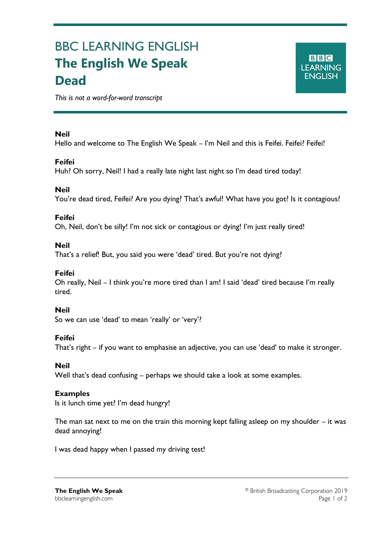# BBC LEARNING ENGLISH **The English We Speak Dead**

*This is not a word-for-word transcript*

## **Neil**

Ξ

Hello and welcome to The English We Speak – I'm Neil and this is Feifei. Feifei? Feifei!

## **Feifei**

Huh? Oh sorry, Neil! I had a really late night last night so I'm dead tired today!

## **Neil**

You're dead tired, Feifei? Are you dying? That's awful! What have you got? Is it contagious?

## **Feifei**

Oh, Neil, don't be silly! I'm not sick or contagious or dying! I'm just really tired!

## **Neil**

That's a relief! But, you said you were 'dead' tired. But you're not dying?

## **Feifei**

Oh really, Neil – I think you're more tired than I am! I said 'dead' tired because I'm really tired.

## **Neil**

So we can use 'dead' to mean 'really' or 'very'?

## **Feifei**

That's right – if you want to emphasise an adjective, you can use 'dead' to make it stronger.

#### **Neil**

Well that's dead confusing – perhaps we should take a look at some examples.

#### **Examples**

Is it lunch time yet? I'm dead hungry!

The man sat next to me on the train this morning kept falling asleep on my shoulder – it was dead annoying!

I was dead happy when I passed my driving test!